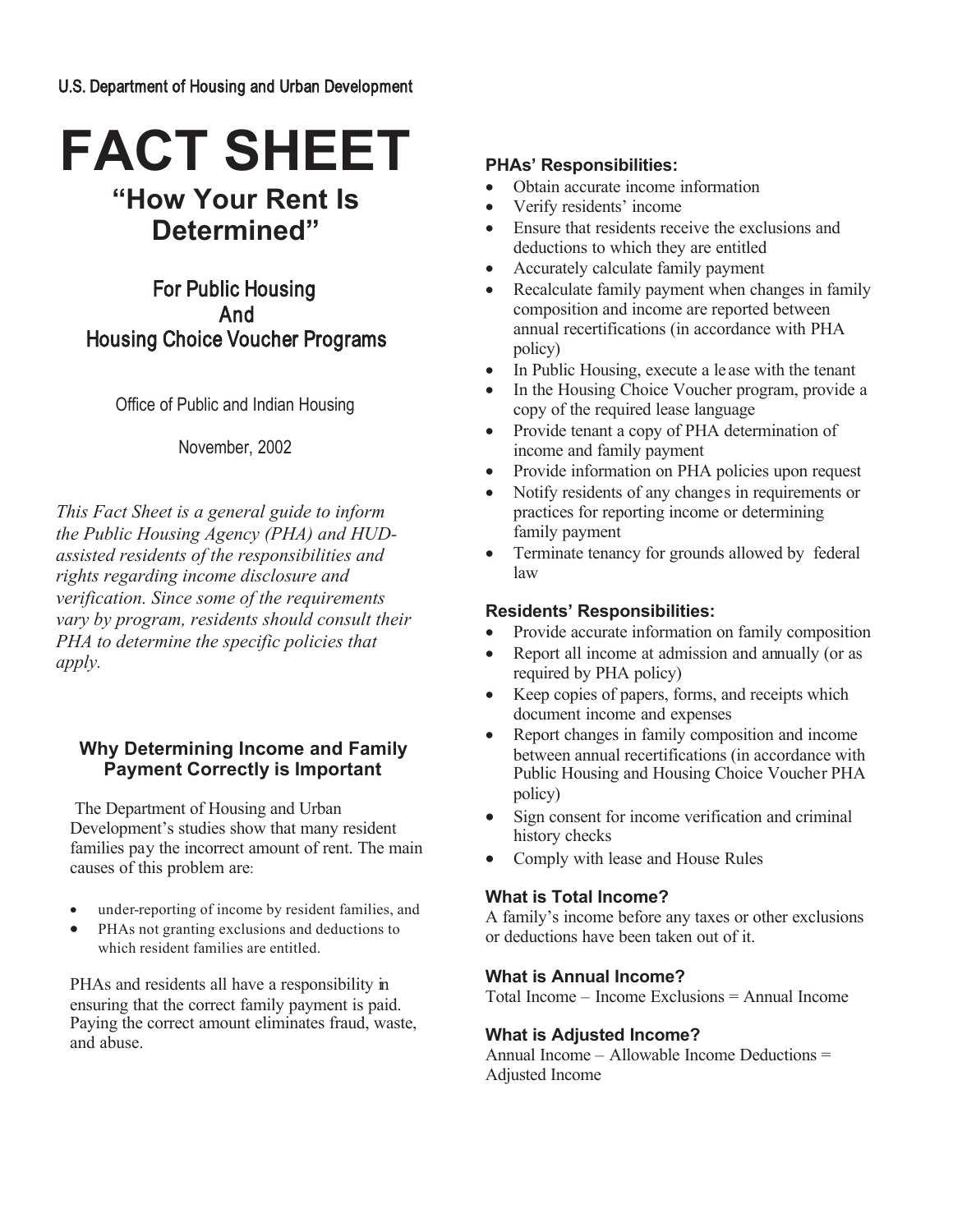# **FACT SHEET "How Your Rent Is**

# **Determined"**

For Public Housing And Housing Choice Voucher Programs

Office of Public and Indian Housing

November, 2002

*This Fact Sheet is a general guide to inform the Public Housing Agency (PHA) and HUDassisted residents of the responsibilities and rights regarding income disclosure and verification. Since some of the requirements vary by program, residents should consult their PHA to determine the specific policies that apply.*

# **Why Determining Income and Family Payment Correctly is Important**

The Department of Housing and Urban Development's studies show that many resident families pay the incorrect amount of rent. The main causes of this problem are:

- under-reporting of income by resident families, and
- PHAs not granting exclusions and deductions to which resident families are entitled.

PHAs and residents all have a responsibility in ensuring that the correct family payment is paid. Paying the correct amount eliminates fraud, waste, and abuse.

## **PHAs' Responsibilities:**

- Obtain accurate income information
- Verify residents' income
- Ensure that residents receive the exclusions and deductions to which they are entitled
- Accurately calculate family payment
- Recalculate family payment when changes in family composition and income are reported between annual recertifications (in accordance with PHA policy)
- In Public Housing, execute a lease with the tenant
- In the Housing Choice Voucher program, provide a copy of the required lease language
- Provide tenant a copy of PHA determination of income and family payment
- Provide information on PHA policies upon request
- Notify residents of any changes in requirements or practices for reporting income or determining family payment
- Terminate tenancy for grounds allowed by federal law

#### **Residents' Responsibilities:**

- Provide accurate information on family composition
- Report all income at admission and annually (or as required by PHA policy)
- Keep copies of papers, forms, and receipts which document income and expenses
- Report changes in family composition and income between annual recertifications (in accordance with Public Housing and Housing Choice Voucher PHA policy)
- Sign consent for income verification and criminal history checks
- Comply with lease and House Rules

#### **What is Total Income?**

A family's income before any taxes or other exclusions or deductions have been taken out of it.

#### **What is Annual Income?**

Total Income – Income Exclusions = Annual Income

#### **What is Adjusted Income?**

Annual Income – Allowable Income Deductions = Adjusted Income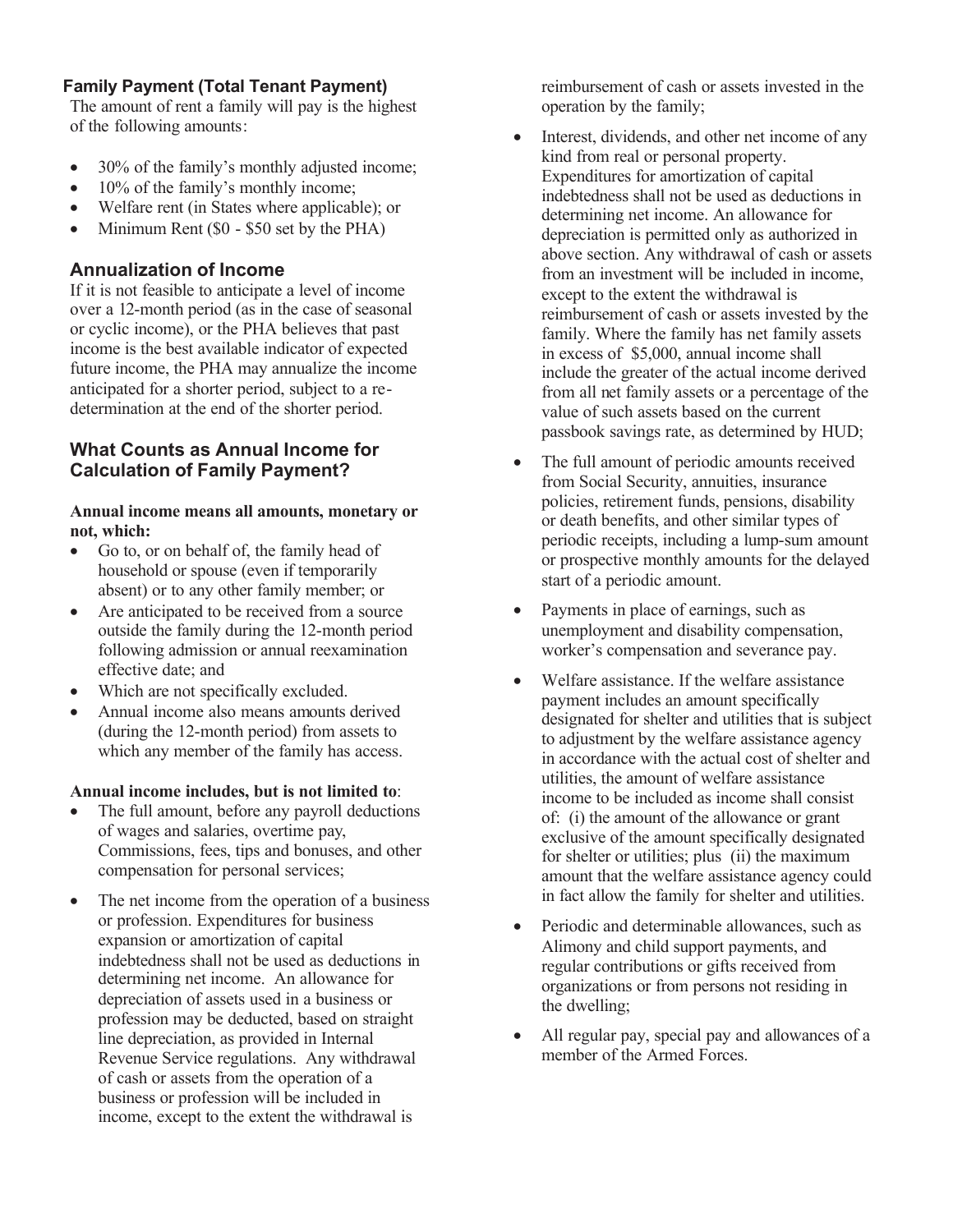# **Family Payment (Total Tenant Payment)**

The amount of rent a family will pay is the highest of the following amounts:

- 30% of the family's monthly adjusted income;
- 10% of the family's monthly income;
- Welfare rent (in States where applicable); or
- Minimum Rent (\$0 \$50 set by the PHA)

# **Annualization of Income**

If it is not feasible to anticipate a level of income over a 12-month period (as in the case of seasonal or cyclic income), or the PHA believes that past income is the best available indicator of expected future income, the PHA may annualize the income anticipated for a shorter period, subject to a redetermination at the end of the shorter period.

# **What Counts as Annual Income for Calculation of Family Payment?**

#### **Annual income means all amounts, monetary or not, which:**

- Go to, or on behalf of, the family head of household or spouse (even if temporarily absent) or to any other family member; or
- Are anticipated to be received from a source outside the family during the 12-month period following admission or annual reexamination effective date; and
- Which are not specifically excluded.
- Annual income also means amounts derived (during the 12-month period) from assets to which any member of the family has access.

#### **Annual income includes, but is not limited to**:

- The full amount, before any payroll deductions of wages and salaries, overtime pay, Commissions, fees, tips and bonuses, and other compensation for personal services;
- The net income from the operation of a business or profession. Expenditures for business expansion or amortization of capital indebtedness shall not be used as deductions in determining net income. An allowance for depreciation of assets used in a business or profession may be deducted, based on straight line depreciation, as provided in Internal Revenue Service regulations. Any withdrawal of cash or assets from the operation of a business or profession will be included in income, except to the extent the withdrawal is

reimbursement of cash or assets invested in the operation by the family;

- Interest, dividends, and other net income of any kind from real or personal property. Expenditures for amortization of capital indebtedness shall not be used as deductions in determining net income. An allowance for depreciation is permitted only as authorized in above section. Any withdrawal of cash or assets from an investment will be included in income, except to the extent the withdrawal is reimbursement of cash or assets invested by the family. Where the family has net family assets in excess of \$5,000, annual income shall include the greater of the actual income derived from all net family assets or a percentage of the value of such assets based on the current passbook savings rate, as determined by HUD;
- The full amount of periodic amounts received from Social Security, annuities, insurance policies, retirement funds, pensions, disability or death benefits, and other similar types of periodic receipts, including a lump-sum amount or prospective monthly amounts for the delayed start of a periodic amount.
- Payments in place of earnings, such as unemployment and disability compensation, worker's compensation and severance pay.
- Welfare assistance. If the welfare assistance payment includes an amount specifically designated for shelter and utilities that is subject to adjustment by the welfare assistance agency in accordance with the actual cost of shelter and utilities, the amount of welfare assistance income to be included as income shall consist of: (i) the amount of the allowance or grant exclusive of the amount specifically designated for shelter or utilities; plus (ii) the maximum amount that the welfare assistance agency could in fact allow the family for shelter and utilities.
- Periodic and determinable allowances, such as Alimony and child support payments, and regular contributions or gifts received from organizations or from persons not residing in the dwelling;
- All regular pay, special pay and allowances of a member of the Armed Forces.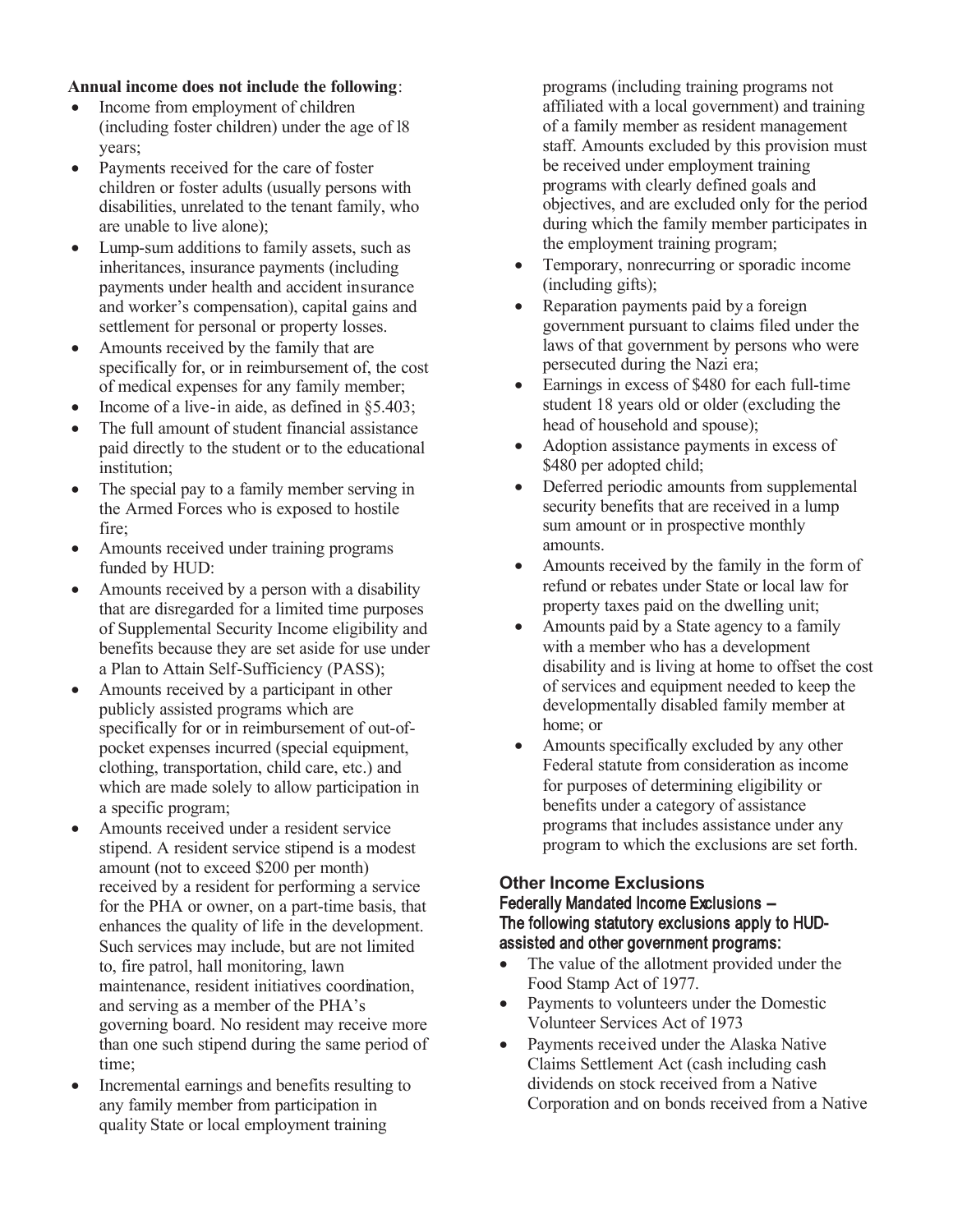#### **Annual income does not include the following**:

- Income from employment of children (including foster children) under the age of l8 years;
- Payments received for the care of foster children or foster adults (usually persons with disabilities, unrelated to the tenant family, who are unable to live alone);
- Lump-sum additions to family assets, such as inheritances, insurance payments (including payments under health and accident insurance and worker's compensation), capital gains and settlement for personal or property losses.
- Amounts received by the family that are specifically for, or in reimbursement of, the cost of medical expenses for any family member;
- Income of a live-in aide, as defined in  $§5.403$ ;
- The full amount of student financial assistance paid directly to the student or to the educational institution;
- The special pay to a family member serving in the Armed Forces who is exposed to hostile fire;
- Amounts received under training programs funded by HUD:
- Amounts received by a person with a disability that are disregarded for a limited time purposes of Supplemental Security Income eligibility and benefits because they are set aside for use under a Plan to Attain Self-Sufficiency (PASS);
- Amounts received by a participant in other publicly assisted programs which are specifically for or in reimbursement of out-ofpocket expenses incurred (special equipment, clothing, transportation, child care, etc.) and which are made solely to allow participation in a specific program;
- Amounts received under a resident service stipend. A resident service stipend is a modest amount (not to exceed \$200 per month) received by a resident for performing a service for the PHA or owner, on a part-time basis, that enhances the quality of life in the development. Such services may include, but are not limited to, fire patrol, hall monitoring, lawn maintenance, resident initiatives coordination, and serving as a member of the PHA's governing board. No resident may receive more than one such stipend during the same period of time;
- Incremental earnings and benefits resulting to any family member from participation in quality State or local employment training

programs (including training programs not affiliated with a local government) and training of a family member as resident management staff. Amounts excluded by this provision must be received under employment training programs with clearly defined goals and objectives, and are excluded only for the period during which the family member participates in the employment training program;

- Temporary, nonrecurring or sporadic income (including gifts);
- Reparation payments paid by a foreign government pursuant to claims filed under the laws of that government by persons who were persecuted during the Nazi era;
- Earnings in excess of \$480 for each full-time student 18 years old or older (excluding the head of household and spouse);
- Adoption assistance payments in excess of \$480 per adopted child;
- Deferred periodic amounts from supplemental security benefits that are received in a lump sum amount or in prospective monthly amounts.
- Amounts received by the family in the form of refund or rebates under State or local law for property taxes paid on the dwelling unit;
- Amounts paid by a State agency to a family with a member who has a development disability and is living at home to offset the cost of services and equipment needed to keep the developmentally disabled family member at home; or
- Amounts specifically excluded by any other Federal statute from consideration as income for purposes of determining eligibility or benefits under a category of assistance programs that includes assistance under any program to which the exclusions are set forth.

#### **Other Income Exclusions** Federally Mandated Income Exclusions -- The following statutory exclusions apply to HUDassisted and other government programs:

- The value of the allotment provided under the Food Stamp Act of 1977.
- Payments to volunteers under the Domestic Volunteer Services Act of 1973
- Payments received under the Alaska Native Claims Settlement Act (cash including cash dividends on stock received from a Native Corporation and on bonds received from a Native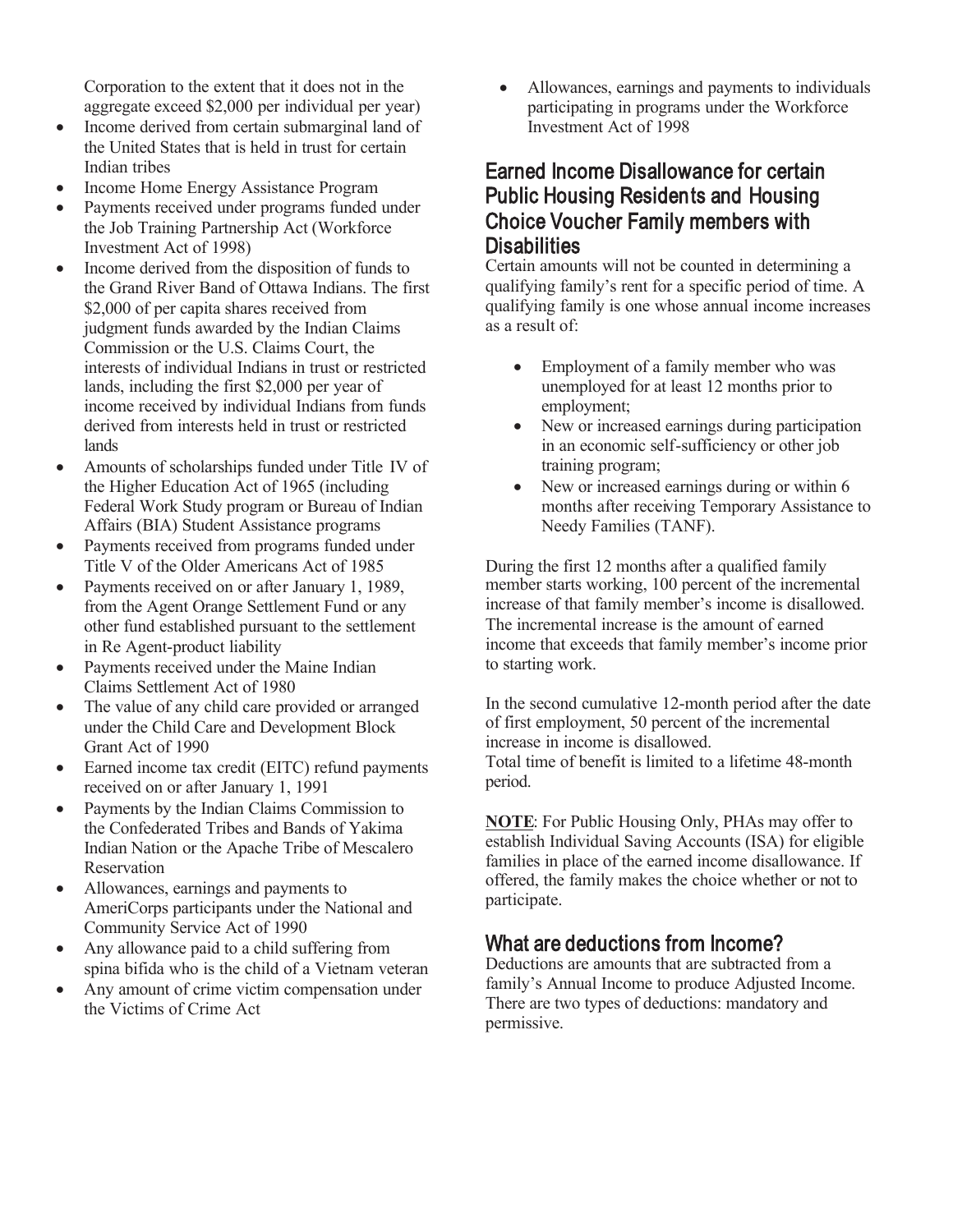Corporation to the extent that it does not in the aggregate exceed \$2,000 per individual per year)

- Income derived from certain submarginal land of the United States that is held in trust for certain Indian tribes
- Income Home Energy Assistance Program
- Payments received under programs funded under the Job Training Partnership Act (Workforce Investment Act of 1998)
- Income derived from the disposition of funds to the Grand River Band of Ottawa Indians. The first \$2,000 of per capita shares received from judgment funds awarded by the Indian Claims Commission or the U.S. Claims Court, the interests of individual Indians in trust or restricted lands, including the first \$2,000 per year of income received by individual Indians from funds derived from interests held in trust or restricted lands
- Amounts of scholarships funded under Title IV of the Higher Education Act of 1965 (including Federal Work Study program or Bureau of Indian Affairs (BIA) Student Assistance programs
- Payments received from programs funded under Title V of the Older Americans Act of 1985
- Payments received on or after January 1, 1989, from the Agent Orange Settlement Fund or any other fund established pursuant to the settlement in Re Agent-product liability
- Payments received under the Maine Indian Claims Settlement Act of 1980
- The value of any child care provided or arranged under the Child Care and Development Block Grant Act of 1990
- Earned income tax credit (EITC) refund payments received on or after January 1, 1991
- Payments by the Indian Claims Commission to the Confederated Tribes and Bands of Yakima Indian Nation or the Apache Tribe of Mescalero Reservation
- Allowances, earnings and payments to AmeriCorps participants under the National and Community Service Act of 1990
- Any allowance paid to a child suffering from spina bifida who is the child of a Vietnam veteran
- Any amount of crime victim compensation under the Victims of Crime Act

 Allowances, earnings and payments to individuals participating in programs under the Workforce Investment Act of 1998

# Earned Income Disallowance for certain Public Housing Residents and Housing Choice Voucher Family members with **Disabilities**

Certain amounts will not be counted in determining a qualifying family's rent for a specific period of time. A qualifying family is one whose annual income increases as a result of:

- Employment of a family member who was unemployed for at least 12 months prior to employment;
- New or increased earnings during participation in an economic self-sufficiency or other job training program;
- New or increased earnings during or within 6 months after receiving Temporary Assistance to Needy Families (TANF).

During the first 12 months after a qualified family member starts working, 100 percent of the incremental increase of that family member's income is disallowed. The incremental increase is the amount of earned income that exceeds that family member's income prior to starting work.

In the second cumulative 12-month period after the date of first employment, 50 percent of the incremental increase in income is disallowed. Total time of benefit is limited to a lifetime 48-month period.

**NOTE**: For Public Housing Only, PHAs may offer to establish Individual Saving Accounts (ISA) for eligible families in place of the earned income disallowance. If offered, the family makes the choice whether or not to participate.

# What are deductions from Income?

Deductions are amounts that are subtracted from a family's Annual Income to produce Adjusted Income. There are two types of deductions: mandatory and permissive.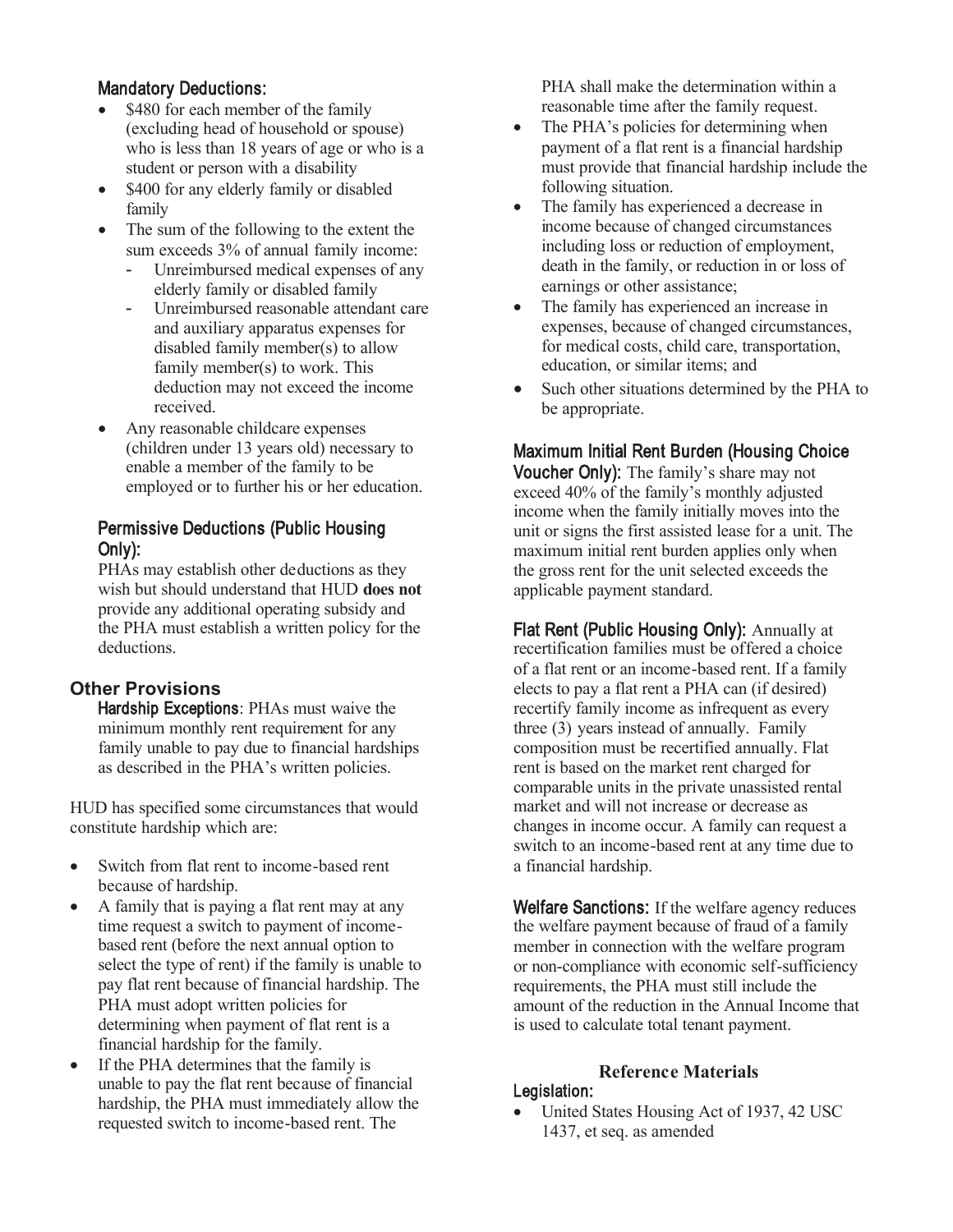# Mandatory Deductions:

- \$480 for each member of the family (excluding head of household or spouse) who is less than 18 years of age or who is a student or person with a disability
- \$400 for any elderly family or disabled family
- The sum of the following to the extent the sum exceeds 3% of annual family income:
	- Unreimbursed medical expenses of any elderly family or disabled family
	- Unreimbursed reasonable attendant care and auxiliary apparatus expenses for disabled family member(s) to allow family member(s) to work. This deduction may not exceed the income received.
- Any reasonable childcare expenses (children under 13 years old) necessary to enable a member of the family to be employed or to further his or her education.

# Permissive Deductions (Public Housing Only):

PHAs may establish other deductions as they wish but should understand that HUD **does not** provide any additional operating subsidy and the PHA must establish a written policy for the deductions.

# **Other Provisions**

Hardship Exceptions: PHAs must waive the minimum monthly rent requirement for any family unable to pay due to financial hardships as described in the PHA's written policies.

HUD has specified some circumstances that would constitute hardship which are:

- Switch from flat rent to income-based rent because of hardship.
- A family that is paying a flat rent may at any time request a switch to payment of incomebased rent (before the next annual option to select the type of rent) if the family is unable to pay flat rent because of financial hardship. The PHA must adopt written policies for determining when payment of flat rent is a financial hardship for the family.
- If the PHA determines that the family is unable to pay the flat rent because of financial hardship, the PHA must immediately allow the requested switch to income-based rent. The

PHA shall make the determination within a reasonable time after the family request.

- The PHA's policies for determining when payment of a flat rent is a financial hardship must provide that financial hardship include the following situation.
- The family has experienced a decrease in income because of changed circumstances including loss or reduction of employment, death in the family, or reduction in or loss of earnings or other assistance;
- The family has experienced an increase in expenses, because of changed circumstances, for medical costs, child care, transportation, education, or similar items; and
- Such other situations determined by the PHA to be appropriate.

# Maximum Initial Rent Burden (Housing Choice

Voucher Only): The family's share may not exceed 40% of the family's monthly adjusted income when the family initially moves into the unit or signs the first assisted lease for a unit. The maximum initial rent burden applies only when the gross rent for the unit selected exceeds the applicable payment standard.

Flat Rent (Public Housing Only): Annually at recertification families must be offered a choice of a flat rent or an income-based rent. If a family elects to pay a flat rent a PHA can (if desired) recertify family income as infrequent as every three (3) years instead of annually. Family composition must be recertified annually. Flat rent is based on the market rent charged for comparable units in the private unassisted rental market and will not increase or decrease as changes in income occur. A family can request a switch to an income-based rent at any time due to a financial hardship.

Welfare Sanctions: If the welfare agency reduces the welfare payment because of fraud of a family member in connection with the welfare program or non-compliance with economic self-sufficiency requirements, the PHA must still include the amount of the reduction in the Annual Income that is used to calculate total tenant payment.

# **Reference Materials**

#### Legislation:

• United States Housing Act of 1937, 42 USC 1437, et seq. as amended